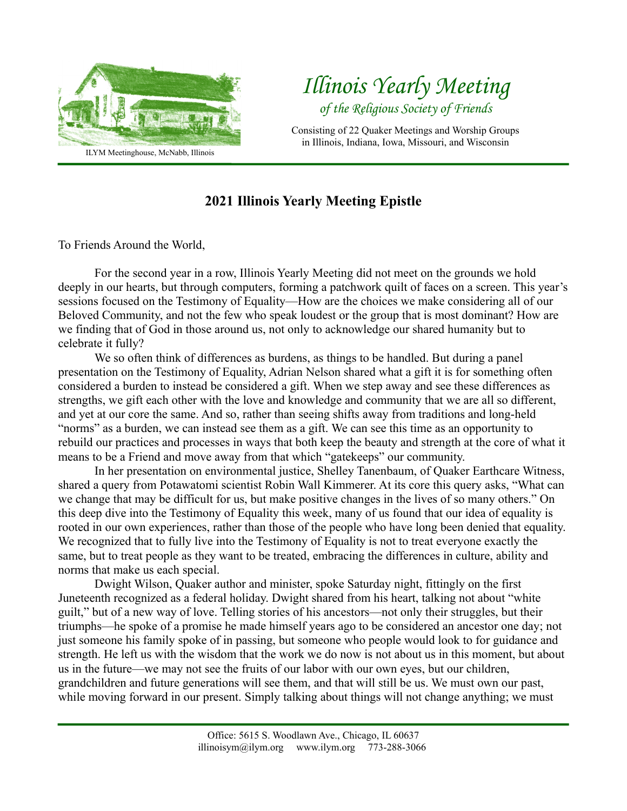

## *Illinois Yearly Meeting of the Religious Society of Friends*

Consisting of 22 Quaker Meetings and Worship Groups in Illinois, Indiana, Iowa, Missouri, and Wisconsin

## **2021 Illinois Yearly Meeting Epistle**

To Friends Around the World,

For the second year in a row, Illinois Yearly Meeting did not meet on the grounds we hold deeply in our hearts, but through computers, forming a patchwork quilt of faces on a screen. This year's sessions focused on the Testimony of Equality—How are the choices we make considering all of our Beloved Community, and not the few who speak loudest or the group that is most dominant? How are we finding that of God in those around us, not only to acknowledge our shared humanity but to celebrate it fully?

We so often think of differences as burdens, as things to be handled. But during a panel presentation on the Testimony of Equality, Adrian Nelson shared what a gift it is for something often considered a burden to instead be considered a gift. When we step away and see these differences as strengths, we gift each other with the love and knowledge and community that we are all so different, and yet at our core the same. And so, rather than seeing shifts away from traditions and long-held "norms" as a burden, we can instead see them as a gift. We can see this time as an opportunity to rebuild our practices and processes in ways that both keep the beauty and strength at the core of what it means to be a Friend and move away from that which "gatekeeps" our community.

In her presentation on environmental justice, Shelley Tanenbaum, of Quaker Earthcare Witness, shared a query from Potawatomi scientist Robin Wall Kimmerer. At its core this query asks, "What can we change that may be difficult for us, but make positive changes in the lives of so many others." On this deep dive into the Testimony of Equality this week, many of us found that our idea of equality is rooted in our own experiences, rather than those of the people who have long been denied that equality. We recognized that to fully live into the Testimony of Equality is not to treat everyone exactly the same, but to treat people as they want to be treated, embracing the differences in culture, ability and norms that make us each special.

Dwight Wilson, Quaker author and minister, spoke Saturday night, fittingly on the first Juneteenth recognized as a federal holiday. Dwight shared from his heart, talking not about "white guilt," but of a new way of love. Telling stories of his ancestors—not only their struggles, but their triumphs—he spoke of a promise he made himself years ago to be considered an ancestor one day; not just someone his family spoke of in passing, but someone who people would look to for guidance and strength. He left us with the wisdom that the work we do now is not about us in this moment, but about us in the future—we may not see the fruits of our labor with our own eyes, but our children, grandchildren and future generations will see them, and that will still be us. We must own our past, while moving forward in our present. Simply talking about things will not change anything; we must